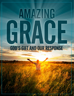# AMAZING **GOD'S GIFT AND OUR RESPONSE**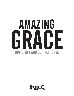# AMAZING GRACE **GOD'S GIFT AND OUR RESPONSE**

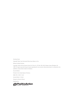Amazing Grace

Originally Titled: Case Dismissed: What Grace Means to You

Written by Mark Farnham

Copyright 1999, 2010 by Positive Action for Christ, Inc., P.O. Box 700, 502 W. Pippen Street, Whitakers, NC 27891. All rights reserved. No part may be reproduced in any manner without permission in writing from the publisher, except where noted on handouts.

Second Edition

Printed in the United States of America

ISBN: 978-1-59557-132-8

General Editor: CJ Harris

Design by Shannon Brown

Published by

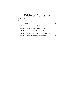# **Table of Contents**

| <b>Lesson 1</b> —Court Adjourned: God's Grace to You! 1               |
|-----------------------------------------------------------------------|
| <b>Lesson 2</b> —Grace: God's Attitude toward You $\dots \dots \dots$ |
| <b>Lesson 3</b> —Living Sacrifice: The Proper Response to Grace . 11  |
| <b>Lesson 4</b> —Grace Living: Showing Grace to Others 16             |
| Lesson 5—Standards: Nuisance or Necessity? 23                         |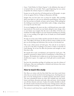Grace: "God's Riches At Christ's Expense" is the definition that many of us learned when we were kids. That's a good beginning, but you cannot encapsulate the richness of grace in a simple acronym.

In grace we see the active love of God poured out on His people—in spite of our sin against His love. Perhaps an illustration will help.

Imagine that you have been sent to prison for murder. After spending thirty years alone in a cell, you are released for good behavior. Now you're free, but you have no friends, no home, and no money. With nothing but the clothing on your back, you find shelter under a bridge, eating dumpster scraps for your first meal.

As you are begging on the street one day, a well-dressed man comes walking toward you. You stretch out your hand, asking for some change, when to your horror you recognize that the man is the father of the boy you murdered. He walks straight to you, but instead of attacking you, berating you, or even recoiling at the sight of you, he hands you several hundred dollars in cash.

He asks you to buy some clothes and then join him for dinner at his mansion. That night in his house, he tells you that he wants to adopt you and give you the privilege and inheritance that was due to his deceased son.

This is just a finite picture of God's grace. Not only do we not deserve it, but we've also done everything in our power to make us unworthy of God's blessing. Yet in love He offers the provision and strength we need from day to day.

We should all be awed, overwhelmed, and inspired by God's grace. We should be motivated to deeper levels of commitment to Him because of His grace. We should strive to defeat sin in our lives because of grace. We should swim in grace—be caught up in God's gift and its eternal importance.

You have the tremendous privilege of teaching your teens the richness of God's grace. May your teaching have a freshness and relevance that comes only from living by grace.

# **How to teach this study**

Hot Shots are written with the firm belief that teens learn much better when they are actively involved in the learning process. Teaching does not have to be dry, boring lectures or fruitless question and answer sessions. The most remembered lessons are those that included taste and touch, humor and drama, discussion and study, video and music. Active learning uses all these elements and more. It places the student shoulder-to-shoulder with the teacher instead of twenty feet away. It brings stories to life and gives information meaning. It changes thinking, speech, behavior and life.

The sections in each lesson have a specific function within the lesson.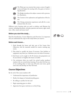

The Warm-up is an exercise that creates a sense of togetherness and begins the meeting with a fun game or interesting discussion.



The Bridge introduces the subject content with a provocative illustration.



The Content is the explanation and application of the lesson.



The Closing summarizes experiences and calls for a commitment from the teens.

Different active learning styles are used to reinforce and illustrate the content, including discussion, role play, question and answer, sight, smell, taste, video, music and many more!

# **Before you start the study…**

Read the Introduction, Course Objectives and Overview. It is important that you understand the scope of this study before you teach it.

# **Before each lesson…**

- 1. Read through the lesson and take note of the Lesson Aim, Objectives, and the materials needed for creative teaching segments.
- 2. Plan ahead to modify the lesson if necessary. Your facilities or equipment may limit you. Substitute your own ideas if necessary.
- 3. Each lesson can be taught in 20–30 minutes, but preparation can let you shorten or lengthen the lesson as needed.
- 4. Use excitement when you teach! An excited teacher produces students who are excited about learning. If you don't feel that one of our teaching ideas or warm ups will excite your teens, spend some time and develop one that will work.

# **Course Objectives**

By the end of this course students will:

- Understand the importance of justification
- Realize the dangers of misunderstanding grace
- Be willing to sacrifice for the Lord
- Begin expressing grace to others
- Appreciate how grace motivates us to holy living

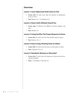# **Overview**

# **Lesson 1: Court Adjourned: God's Grace to You!**

- **Lesson Aim:** To teach teens what the doctrine of justification means to them
- **Text:** Romans 5:1; 1 Corinthians 6:11

# **Lesson 2: Grace: God's Attitude Toward You**

- **Lesson Aim:** To illustrate the difference between legalism and grace
- **Text:** Matthew 23

# **Lesson 3: Living Sacrifice: The Proper Response to Grace**

- **Lesson Aim:** To teach teens how they should respond to grace
- **Text:** Romans 12:1–2

# **Lesson 4: Grace Living: Showing Grace to Others**

- **Lesson Aim:** To teach teens how they can show grace to others
- **Text:** Colossians 3:12–13

# **Lesson 5: Standards: Nuisance or Necessity?**

- **Lesson Aim:** To teach teens the importance of personal and institutional standards
- **Texts:** 1 Corinthians 14:40; Job 31:1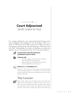# LESSON 1 **Court Adjourned** God's Grace to You!

For a teenager, walking into a new social setting for the first time can be scary, intimidating, and confusing. He may be thinking, "Where do I stand?" or "Where do I fit in?" When teens come to Christ, they enter a new experience and they ask the same kind of question: "Where do I stand with God?" Understanding the doctrine of justification can help teens experience the joy of knowing where they "fit in" with God as believers.



#### **To teach teens what the doctrine of justification means to them.**



#### **Students will:**

- See what happens at the moment of salvation
- Learn the definition of justification
- Share experiences of God's grace in their lives
- Express gratefulness for God's grace



#### **Romans 5:1; 1 Corinthians 6:11**

Romans 5:1 tells us that we have peace with God because Jesus Christ has justified us. 1 Corinthians 6:11 reminds us that our past is behind us because our justification puts us in a new position with God.

# **The Lesson**



Place all the objects for the object lesson (see "What You Need" on the next page) on a table and cover them with a sheet. Hand out paper and pencils as students enter. When you are ready to start, uncover the objects for 30 seconds and then cover them up again. Now give the students two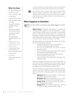# **What You Need**

- An overstuffed bacpack
- A little dirt or soot
- A wet washrag or towel
- A large zip tie
- A pair of heavy scissors
- A bill envelope marked "Sin Debt"
- A legal file or manila envelope marked "GUILTY"
- A small sign marked "Sentenced to Death"
- A small sign marked "Eternal Life"
- Three large signs marked "Dad," "Sis," and "Bro"
- A black heart cut-out
- A white heart cut-out
- A dove cut-out
- A "frowny-face" mask with a string to tie around someone's head
- A large check
- An ID card
- Three small gift boxes or gift cards

minutes to jot down as many objects as they can remember. Award prizes to the teens that remember the most objects.



Ask, "What are some common things that we forget easily?" (Phone numbers, combination lock numbers, how to spell someone's last name) Say, "One thing that's easy to forget even though we've heard it before—is what happens to us when we get saved."

# **What Happens at Salvation**



**THE When we trust Christ as our Savior, many things happen to us all at** once.

> **Object Lesson:** To illustrate what happens in salvation you will need several volunteers to act out characters—a newly saved Christian, a father, a sister, and a brother—and the props from the warm-up. You'll need a little time to prepare the characters, so assign the verses listed below to the remaining teens, telling them to look up their verse(s) and be prepared to say what each indicates will happen at salvation.

> Take the characters out of the room and prepare the Christian for the skit by doing the following:

- Smudge the bit of dirt or soot on his forehead
- Put the overstuffed backpack on his back
- Give him the "GUILTY" file and the bill envelope marked "Sin Debt"
- Tape on his back the sign saying "Sentenced to Death," and stick to his chest the black heart
- Secure his hands behind his back with the zip-tie
- Put the frowny-face mask on him
- Hand the father, sister, and brother characters their appropriate signs.

Bring the characters into the room, with the Christian up front and the others standing off to the side. Explain that the Christian is like every person before salvation. Say that spiritually speaking, we all look ridiculous without Christ.

Instruct the teens with assigned verses to read them, explaining each one in turn. Clarify as necessary, then illustrate each truth by having the characters perform the actions listed below.

- **• Ephesians 1:7:** Our sins are forgiven—Slip the backpack off his back and throw it aside.
- **Revelation 1:5:** We are washed from our sin—Wash the smudge off his face with the wet paper towel.
- **Romans 6:18:** We are loosed from the power of sin—Cut through the zip-tie.
- **• Romans 5:11**: Our sin debt is paid in full—Take the "Sin Debt" envelope and mark it with a large X.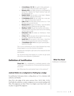- **• 2 Corinthians 1:9–10:** Our guilt is fully pardoned— Take the "GUILTY" file and mark it with a large X.
- **• Romans 6:23:** Our death sentence is exchanged for eternal life—Replace the "Death Sentence" sign with the "Eternal Life" one.
- **Ezekiel 36:26:** We are given a new heart—Replace the black heart with the white heart.
- **• 2 Corinthians 5:17:** We are made into a new person—Take the frowny-face mask off.
- **• Luke 11:13:** The Holy Spirit comes to live in us—Tuck the dove cut-out into his shirt.
- **• Romans 8:15:** We get a new father—Have the father stand next to him holding up the "Dad" sign.
- **• Matthew 12:50:** We get new brothers and sisters— Have the brother and sister stand next to him holding up their signs, as well.
- **• Colossians 1:12:** We obtain an inheritance—Hand him the check.
- **• 2 Peter 1:3:** We are given all we need to live the way we ought—Hand him the utility belt.
- **• Isaiah 62:2:** We are given a new name—Hand him the ID and announce his new name as "Christian."
- **• 1 Corinthians 12:1–11:** We are given spiritual gifts— Hand him the gifts.

This is not an exhaustive list, but it does illustrate how many things happen to us at the moment of salvation.

Distribute the small gifts or gift cards to the characters for their participation.

Say, "Of all the things that happen to us when we get saved, one of the most important is justification."

# **Definition of Justification**

**Visual Aid:** On a whiteboard or overhead projector write: "Justification is the judicial act of God proclaiming restoration of a sinner."

Ask, "What does the word 'judicial' mean in this sentence?"

# **Judicial Refers to a Judgment or Ruling by a Judge**

In justification God passes down a ruling about us. It is a decision with authority and finality.

Since He is the judge of the entire universe (Gen. 18:25; Heb. 12:23), God holds the authority to make a judgment on our eternal standing with Him. His judgments are final. There is no higher court than God's—and no place to appeal His judgment.

#### **What You Need**

Chalkboard or whiteboard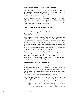# **Justification Is God Passing Down a Ruling**

This ruling releases a guilty sinner from his just punishment, restoring him to a place of favor. We are freed from our deserved sentence of eternal death in hell. This is only possible because Jesus paid the debt of our sin, satisfying both God's holiness and justice (Mic. 7:18).

Restored to God's favor, we are now approved and accepted by Him. When God looks at us, He sees the righteousness of Jesus Christ. Our fellowship with God—once broken by Adam's sin—is restored, leaving us adopted sons and daughters in God's family.

# **What Justification Means to You**

# **You Are No Longer Under Condemnation by God— Romans 8:1**

Many Christians live with a fear that if they mess up too many times, they will lose their salvation. They struggle with a doubt fueled by uncertainty and unconfessed sin. Justification reminds us that when we completely trust in Jesus Christ for salvation, our eternal destiny is settled once and for all. God is the one who makes the declaration about our spiritual condition and no amount of failing and weakness on our part can change our ultimate standing with Him. If a person is saved by Christ, how he feels about his salvation does not affect his justification.

Christians who are out of fellowship with God and living with unconfessed sin will feel conviction and guilt because of the Holy Spirit's work in their lives. Don't mistake this guilt for the condemnation of God. If you repent of the sin in your life and fellowship with Him through the Word and prayer, your feelings of guilt will go away.

# **You Are Now Living in God's Favor**

Rather than being subject to God's anger—like we were before salvation we now experience His favor. This is known as His grace. Every time something bad happens in your life, it's not God "getting you" for being bad. He sees you as righteous, not bad. If there is sin in your life, God will deal directly with that sin, but even in this you can expect to be treated by God as a good, loving father would treat his precious child.

The father does everything he can to show that child love. He showers the child with gifts and attention. He is there when the child is hurt, comforting when it's needed most. This is what God's favor is like.



Ask the teens to name different ways we experience God's favor in our lives. Then close in prayer, asking the teens to pray out loud individually as they are led to thank God for His grace.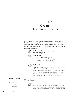# LESSON 2 **Grace** God's Attitude Toward You

Many teens are confused about how God feels about them. Some think that God must be angry with them because they fail Him. Others have heard that God loves them, but they never feel that love. Understanding the doctrine of grace and its meaning for them will help teens have the motivation to live right.



#### **To illustrate the difference between legalism and grace.**



#### **Students will:**

- Learn the definition of grace
- Discover how much they live by grace
- Visualize the dangers of legalism
- Study the failure of the Pharisees



#### **Matthew 23**

This text reveals the stark contrast between the grace of Jesus and the legalism of the Pharisees. Jesus exposed them for who they were: hypocrites putting on a good outward show while their hearts were full of wickedness. They were teaching others to earn God's favor through self-righteous acts. Jesus demonstrated that as believers we already have God's favor.

# **The Lesson**



 $\approx$  Set up a table at the entrance to the room and arrange a variety snacks and drinks on it. Write up a sign that says "Cost: Whatever You Want." Sell the snacks to anyone who offers money, but also give them away free to anyone who requests

# **What You Need**

A table, Snacks for everyone, A sign, A marker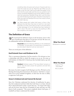something. Note who gives each amount. If anyone asks how much the snacks are, just say, "Read the sign." When you are ready to start the class, clean up the table and explain to the teens that the snacks really were free, but you wanted to see if anyone would feel obligated to pay anyway. While you appreciate their generosity, thankfully things don't work the same way with the blessing of God's grace. Hand the money back to those who paid, and distribute the rest of the snacks to those who didn't take any.



Say, "Many people don't realize God's grace, or favor, is free. Someone has told them they have to work for it, but God's Word tells us it is free. Some will try to earn it, and some refuse to take advantage of it at all, thinking they have nothing to offer in return. The truth is, none of us has anything to offer that compares to the wealth of God's grace."

# **The Definition of Grace**

TI We mentioned the definition of grace in the last lesson. Grace is that part of justification that places us in the favor of God. We move out of condemnation and into the kindness of God.

> **Visual Aid:** Write the following definition on the whiteboard or overhead: "To show grace is to extend favor or kindness to one who doesn't deserve it and can never earn it."

There are several parts of this definition:

# **God Extends Favor and Kindness to Us**

This is a permanent disposition God has toward us. He welcomes us into a relationship with Him in which He accepts us as we are. He treats us with kindness. In Psalm 68:19, David says that God daily loads us up with blessings.

> **Handout:** Distribute copies of "The Grace Meter" and pens or pencils. Have the teens answer the questions and rate their grace quotient.

But many of us don't recognize God's blessing in our lives. We don't see the blessings showering down from heaven all around us. And there's a reason: when we're on the treadmill of legalism, we don't have the time or ability to appreciate God's grace.

# **Grace Is Undeserved and Cannot Be Earned**

Since few Christians understand the doctrine of justification by grace, they feel condemned and don't think that God's favor is on them. Instead they've placed themselves under a system that says, "To escape God's anger and earn his favor, keep this list of hundreds of rules and then you will deserve God's acceptance." This system completely denies God's grace. A treadmill can help us understand this mindset.

**What You Need**

Whiteboard or overhead

#### **What You Need**

Copies of "The Grace Meter" Pens or pencils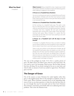#### **What You Need**

A treadmill

**Object Lesson:** Bring a treadmill to class. A great way to hold the students' attention would be to teach the following points while walking or jogging on the treadmill.

#### **A Person on a Treadmill Goes Nowhere**

You can run as long as you want on a treadmill, but you'll never get anywhere. Christians who live their lives trying to escape God's wrath and earn His favor never get there because grace is not received this way.

#### **A Person on a Treadmill Gets Tired After a While**

At first running on a treadmill looks easy. The path is only five or so feet long. But soon you realize it never ends. After a while you quit because you're not getting anywhere. Likewise, a Christian who lives a legalistic life soon gets emotionally exhausted with running from God's anger, never fully experiencing God's grace. Many Christians in a system like this eventually quit the faith and never have anything to do with God or the church again.

#### **A Person on a Treadmill Can't Lift His Eyes to Look Around**

A Christian in a legalistic life has to focus so hard on making sure he doesn't break one of the hundreds of man-made rules that he doesn't have time to see God's grace all around him.

There is only one solution to this destructive mindset: get off the treadmill! God's grace does not require us to be on it. We already have His favor and have already escaped condemnation. We can't earn God's favor; we already have it. We don't deserve it and can never deserve it no matter how hard we try. It's given freely to undeserving sinners like you and I. We must simply accept it and begin to enjoy it!

The story of the prodigal son (Luke 15:11–32) is a perfect picture of grace. He didn't deserve his father's grace when he came back home. He even tried to earn it by becoming a hired servant. But his father showed him favor all along. He was always waiting for his son to come back, and when he did, no amount of work was needed to regain favor. The father's grace was free!

# **The Danger of Grace**

One of the reasons so many Christians live under legalism rather than grace is that legalism keeps them in line through an emphasis on fear of God's wrath. When Christians constantly focus on the impending judgment of God, no one dares question or violate the rules that have been set up, even though they may be man-made and not from God. Christians then maintain a meticulous outward life while never addressing their inner problems. This is how the Pharisees lived.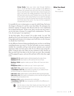**Group Study:** Have your teens read through Matthew 23:2–7, 13–28. Ask them to listen carefully to the difference between the outward lives and inner lives of the Pharisees. Discuss what they learn. Have them take a sheet of paper and draw a line down the middle lengthwise. At the top of the left-hand side write the word "Pharisee," and on the other side of the column write "God's Ruling." As you read the passage, record every act that the Pharisee does and then record what God thinks about that action. You may not find a judgment recorded about each action.

It is possible for you to misuse grace as a pass for sinful living. Paul notes this danger in Romans 6:1 and the verses that follow. He anticipates the immature response of someone who discovers that he is not condemned but accepted and favored. "If this is true, then I can live any way I want. I can sin and enjoy it because I've escaped God's condemnation. The more I sin, the more grace I can experience."

To this Paul replies, "By no means!" Or in other words: "no way!" We should not live in sin just because we have God's grace already. Instead of living righteously because we're trying to earn God's favor, we do it because we already have God's favor.

It's the difference between doing something because you have to and doing something because you want to. The first will make you more consistent initially, but eventually you'll get tired and just maintain your outward appearance while your heart grows cold. Or you will just stop trying altogether. Living by grace may make you less consistent at first, because on days you don't have the desire to live for God, you won't. But eventually you'll be gripped by grace, and your life and heart will be what they ought to be.

Galatians 3:1-5: Legalism leads to a life dominated by the rules of men. **Galatians 5:1–6:** Grace leads to a life ruled by the love of God.

**Matthew 19:20:** Legalism makes you ask, "When will I have ever done enough?"

**Philippians 3:10:** Grace makes you say, "I want to give more."

**Luke 18:11–12:** Legalism leads to pride in what you have done. **1 Corinthians 15:9–10:** Grace leads to humility as you realize all God has done through an undeserving sinner like you.

**Luke 18:11–12:** Legalism leads to a phony life that others see through easily. **Luke 18:13–14:** Grace leads to transparency and a real life that gets hold of a teen's life and transforms him.

**Galatians 3:10:** Legalism demands strict conformity.

**1 Corinthians 12:4–14:** Grace recognizes and affirms the differences in how God made us.



Ask the teens to bow their heads and close their eyes. Tell them to ask God to teach them to live by grace. After a few minutes, close in prayer.

#### **What You Need**

Paper, Pens or pencils